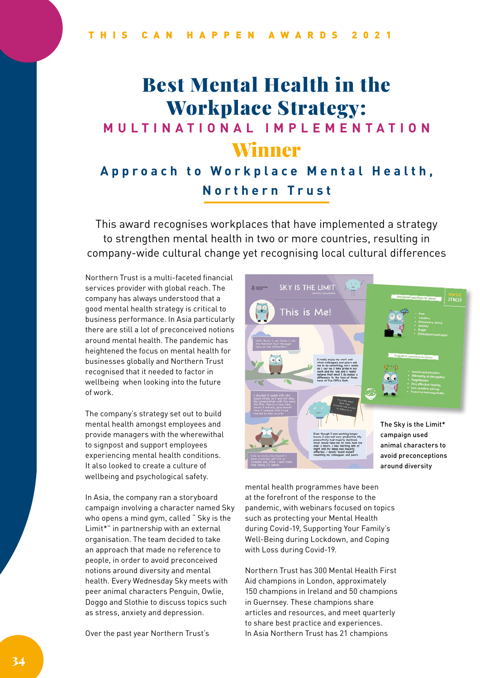# Best Mental Health in the Workplace Strategy:

## **MULTINATIONAL IMPLEMENTATION** Winner

### **Approach to Workplace Mental Health, Northern Trust**

This award recognises workplaces that have implemented a strategy to strengthen mental health in two or more countries, resulting in company-wide cultural change yet recognising local cultural differences

Northern Trust is a multi-faceted financial services provider with global reach. The company has always understood that a good mental health strategy is critical to business performance. In Asia particularly there are still a lot of preconceived notions around mental health. The pandemic has heightened the focus on mental health for businesses globally and Northern Trust recognised that it needed to factor in wellbeing when looking into the future of work.

The company's strategy set out to build mental health amongst employees and provide managers with the wherewithal to signpost and support employees experiencing mental health conditions. It also looked to create a culture of wellbeing and psychological safety.

In Asia, the company ran a storyboard campaign involving a character named Sky who opens a mind gym, called " Sky is the Limit\*" in partnership with an external organisation. The team decided to take an approach that made no reference to people, in order to avoid preconceived notions around diversity and mental health. Every Wednesday Sky meets with peer animal characters Penguin, Owlie, Doggo and Slothie to discuss topics such as stress, anxiety and depression.

Over the past year Northern Trust's



mental health programmes have been at the forefront of the response to the pandemic, with webinars focused on topics such as protecting your Mental Health during Covid-19, Supporting Your Family's Well-Being during Lockdown, and Coping with Loss during Covid-19.

Northern Trust has 300 Mental Health First Aid champions in London, approximately 150 champions in Ireland and 50 champions in Guernsey. These champions share articles and resources, and meet quarterly to share best practice and experiences. In Asia Northern Trust has 21 champions